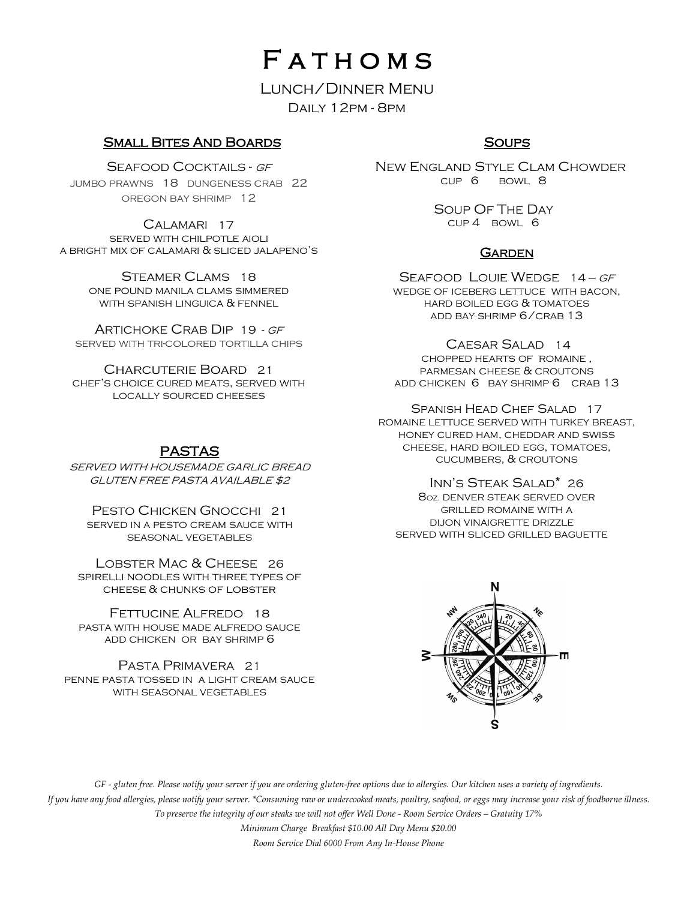# **FATHOMS**

## Lunch/Dinner Menu Daily 12pm - 8pm

## Small Bites And Boards

SEAFOOD COCKTAILS - GF JUMBO PRAWNS 18 DUNGENESS CRAB 22 OREGON BAY SHRIMP 12

CALAMARI 17 SERVED WITH CHILPOTLE AIOLI A BRIGHT MIX OF CALAMARI & SLICED JALAPENO'S

> STEAMER CLAMS 18 ONE pound MANILA CLAMS SIMMERED WITH SPANISH LINGUICA & FENNEL

ARTICHOKE CRAB DIP 19 - GF SERVED WITH TRI-COLORED TORTILLA CHIPS

Charcuterie Board 21 CHEF'S CHOICE CURED MEATS, SERVED WITH LOCALLY SOURCED CHEESES

# PASTAS

SERVED WITH HOUSEMADE GARLIC BREAD GLUTEN FREE PASTA AVAILABLE \$2

PESTO CHICKEN GNOCCHI 21 SERVED IN A PESTO CREAM SAUCE WITH SEASONAL VEGETABLES

LOBSTER MAC & CHEESE 26 spirelli noodles with three types of cheese & chunks of lobster

FETTUCINE ALFREDO 18 PASTA WITH HOUSE MADE ALFREDO SAUCE ADD CHICKEN OR BAY SHRIMP 6

PASTA PRIMAVERA 21 PENNE PASTA TOSSED IN A LIGHT CREAM SAUCE WITH SEASONAL VEGETABLES

# **SOUPS**

 NEW ENGLAND STYLE CLAM CHOWDER CUP 6 BOWL 8

> SOUP OF THE DAY CUP 4 BOWL 6

## **GARDEN**

SEAFOOD LOUIE WEDGE 14 - GF WEDGE OF ICEBERG LETTUCE WITH BACON, HARD BOILED EGG & TOMATOES ADD BAY SHRIMP 6/CRAB 13

CAESAR SALAD 14 CHOPPED HEARTS OF ROMAINE , PARMESAN CHEESE & CROUTONS ADD CHICKEN 6 BAY SHRIMP 6 CRAB 13

SPANISH HEAD CHEF SALAD 17 ROMAINE LETTUCE SERVED WITH TURKEY BREAST, HONEY CURED HAM, CHEDDAR AND SWISS CHEESE, HARD BOILED EGG, TOMATOES, CUCUMBERS, & CROUTONS

INN'S STEAK SALAD\* 26 8OZ. DENVER STEAK SERVED OVER GRILLED ROMAINE WITH A DIJON VINAIGRETTE DRIZZLE SERVED WITH SLICED GRILLED BAGUETTE



*GF - gluten free. Please notify your server if you are ordering gluten-free options due to allergies. Our kitchen uses a variety of ingredients. If you have any food allergies, please notify your server. \*Consuming raw or undercooked meats, poultry, seafood, or eggs may increase your risk of foodborne illness. To preserve the integrity of our steaks we will not offer Well Done - Room Service Orders – Gratuity 17% Minimum Charge Breakfast \$10.00 All Day Menu \$20.00 Room Service Dial 6000 From Any In-House Phone*